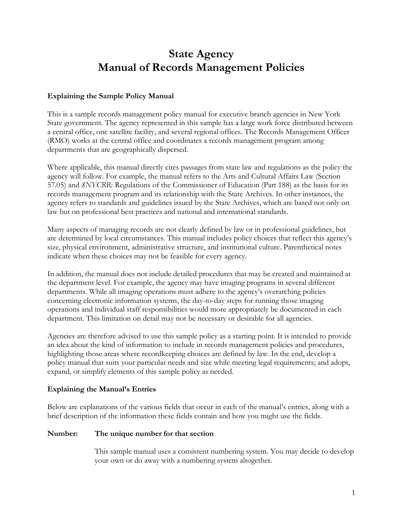# **State Agency Manual of Records Management Policies**

### **Explaining the Sample Policy Manual**

This is a sample records management policy manual for executive branch agencies in New York State government. The agency represented in this sample has a large work force distributed between a central office, one satellite facility, and several regional offices. The Records Management Officer (RMO) works at the central office and coordinates a records management program among departments that are geographically dispersed.

Where applicable, this manual directly cites passages from state law and regulations as the policy the agency will follow. For example, the manual refers to the Arts and Cultural Affairs Law (Section 57.05) and *8NYCRR*: Regulations of the Commissioner of Education (Part 188) as the basis for its records management program and its relationship with the State Archives. In other instances, the agency refers to standards and guidelines issued by the State Archives, which are based not only on law but on professional best practices and national and international standards.

Many aspects of managing records are not clearly defined by law or in professional guidelines, but are determined by local circumstances. This manual includes policy choices that reflect this agency's size, physical environment, administrative structure, and institutional culture. Parenthetical notes indicate when these choices may not be feasible for every agency.

In addition, the manual does not include detailed procedures that may be created and maintained at the department level. For example, the agency may have imaging programs in several different departments. While all imaging operations must adhere to the agency's overarching policies concerning electronic information systems, the day-to-day steps for running those imaging operations and individual staff responsibilities would more appropriately be documented in each department. This limitation on detail may not be necessary or desirable for all agencies.

Agencies are therefore advised to use this sample policy as a starting point. It is intended to provide an idea about the kind of information to include in records management policies and procedures, highlighting those areas where recordkeeping choices are defined by law. In the end, develop a policy manual that suits your particular needs and size while meeting legal requirements; and adopt, expand, or simplify elements of this sample policy as needed.

### **Explaining the Manual's Entries**

Below are explanations of the various fields that occur in each of the manual's entries, along with a brief description of the information these fields contain and how you might use the fields.

#### **Number: The unique number for that section**

This sample manual uses a consistent numbering system. You may decide to develop your own or do away with a numbering system altogether.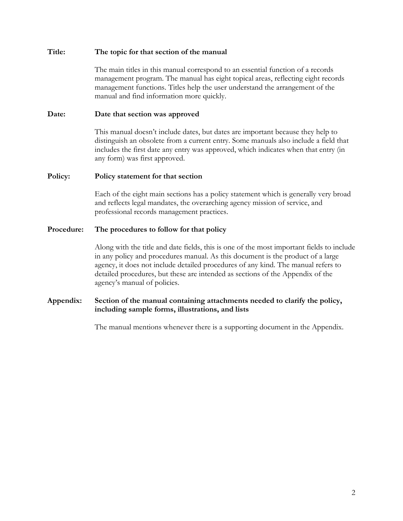#### **Title: The topic for that section of the manual**

The main titles in this manual correspond to an essential function of a records management program. The manual has eight topical areas, reflecting eight records management functions. Titles help the user understand the arrangement of the manual and find information more quickly.

### **Date: Date that section was approved**

This manual doesn't include dates, but dates are important because they help to distinguish an obsolete from a current entry. Some manuals also include a field that includes the first date any entry was approved, which indicates when that entry (in any form) was first approved.

### **Policy: Policy statement for that section**

Each of the eight main sections has a policy statement which is generally very broad and reflects legal mandates, the overarching agency mission of service, and professional records management practices.

### **Procedure: The procedures to follow for that policy**

Along with the title and date fields, this is one of the most important fields to include in any policy and procedures manual. As this document is the product of a large agency, it does not include detailed procedures of any kind. The manual refers to detailed procedures, but these are intended as sections of the Appendix of the agency's manual of policies.

### **Appendix: Section of the manual containing attachments needed to clarify the policy, including sample forms, illustrations, and lists**

The manual mentions whenever there is a supporting document in the Appendix.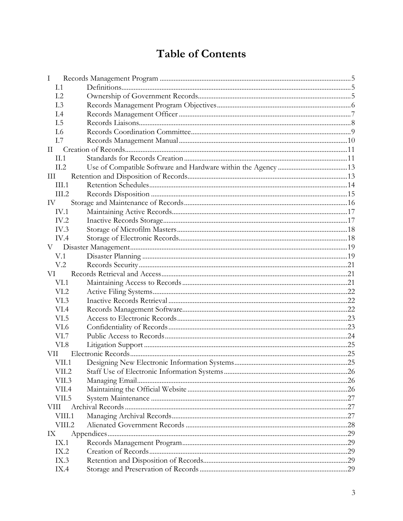# **Table of Contents**

| I                    |  |  |  |  |
|----------------------|--|--|--|--|
| I.1                  |  |  |  |  |
| 1.2                  |  |  |  |  |
| I.3                  |  |  |  |  |
| 1.4                  |  |  |  |  |
| I.5                  |  |  |  |  |
| L6                   |  |  |  |  |
| I.7                  |  |  |  |  |
| $\scriptstyle\rm II$ |  |  |  |  |
| II.1                 |  |  |  |  |
| II.2                 |  |  |  |  |
| Ш                    |  |  |  |  |
| III.1                |  |  |  |  |
| III.2                |  |  |  |  |
| IV                   |  |  |  |  |
| IV.1                 |  |  |  |  |
| IV.2                 |  |  |  |  |
| IV.3                 |  |  |  |  |
| IV.4                 |  |  |  |  |
| V                    |  |  |  |  |
| V.1                  |  |  |  |  |
| V <sub>.2</sub>      |  |  |  |  |
| VI                   |  |  |  |  |
| VI.1                 |  |  |  |  |
| VI.2                 |  |  |  |  |
| VI.3                 |  |  |  |  |
| VI.4                 |  |  |  |  |
| VI.5                 |  |  |  |  |
| VI.6                 |  |  |  |  |
| VI.7                 |  |  |  |  |
| VI.8                 |  |  |  |  |
| VII.                 |  |  |  |  |
| VII.1                |  |  |  |  |
| VII.2                |  |  |  |  |
| VII.3                |  |  |  |  |
| VII.4                |  |  |  |  |
| VII.5                |  |  |  |  |
| VIII                 |  |  |  |  |
| VIII.1               |  |  |  |  |
| VIII.2               |  |  |  |  |
| IX                   |  |  |  |  |
| IX.1                 |  |  |  |  |
| IX.2                 |  |  |  |  |
| IX.3                 |  |  |  |  |
| IX.4                 |  |  |  |  |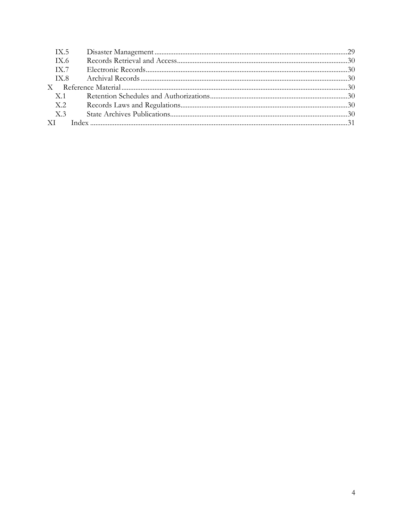| IX.5 |  |
|------|--|
| TX.6 |  |
| IX.7 |  |
|      |  |
|      |  |
| X.1  |  |
| X.2  |  |
| X.3  |  |
|      |  |
|      |  |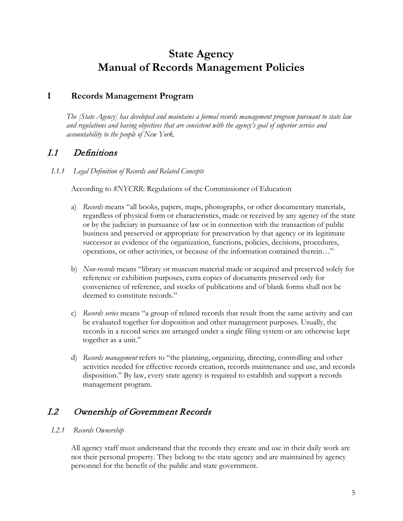# **State Agency Manual of Records Management Policies**

# <span id="page-4-0"></span>**I Records Management Program**

*The [State Agency] has developed and maintains a formal records management program pursuant to state law and regulations and having objectives that are consistent with the agency's goal of superior service and accountability to the people of New York.* 

# <span id="page-4-1"></span>I.1 Definitions

*I.1.1 Legal Definition of Records and Related Concepts*

According to *8NYCRR*: Regulations of the Commissioner of Education

- a) *Records* means "all books, papers, maps, photographs, or other documentary materials, regardless of physical form or characteristics, made or received by any agency of the state or by the judiciary in pursuance of law or in connection with the transaction of public business and preserved or appropriate for preservation by that agency or its legitimate successor as evidence of the organization, functions, policies, decisions, procedures, operations, or other activities, or because of the information contained therein…"
- b) *Non-records* means "library or museum material made or acquired and preserved solely for reference or exhibition purposes, extra copies of documents preserved only for convenience of reference, and stocks of publications and of blank forms shall not be deemed to constitute records."
- c) *Records series* means "a group of related records that result from the same activity and can be evaluated together for disposition and other management purposes. Usually, the records in a record series are arranged under a single filing system or are otherwise kept together as a unit."
- d) *Records management* refers to "the planning, organizing, directing, controlling and other activities needed for effective records creation, records maintenance and use, and records disposition." By law, every state agency is required to establish and support a records management program.

# <span id="page-4-2"></span>I.2 Ownership of Government Records

### *I.2.1 Records Ownership*

All agency staff must understand that the records they create and use in their daily work are not their personal property. They belong to the state agency and are maintained by agency personnel for the benefit of the public and state government.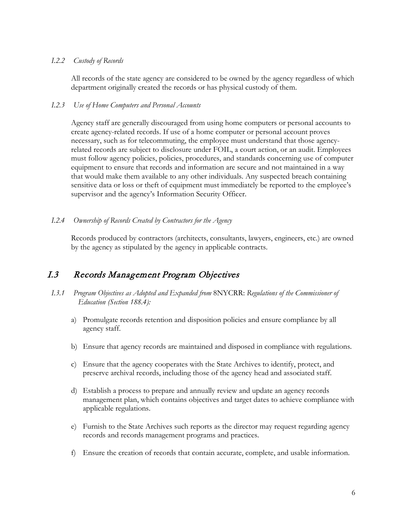#### *I.2.2 Custody of Records*

All records of the state agency are considered to be owned by the agency regardless of which department originally created the records or has physical custody of them.

#### *I.2.3 Use of Home Computers and Personal Accounts*

Agency staff are generally discouraged from using home computers or personal accounts to create agency-related records. If use of a home computer or personal account proves necessary, such as for telecommuting, the employee must understand that those agencyrelated records are subject to disclosure under FOIL, a court action, or an audit. Employees must follow agency policies, policies, procedures, and standards concerning use of computer equipment to ensure that records and information are secure and not maintained in a way that would make them available to any other individuals. Any suspected breach containing sensitive data or loss or theft of equipment must immediately be reported to the employee's supervisor and the agency's Information Security Officer.

#### *I.2.4 Ownership of Records Created by Contractors for the Agency*

Records produced by contractors (architects, consultants, lawyers, engineers, etc.) are owned by the agency as stipulated by the agency in applicable contracts.

### <span id="page-5-0"></span>I.3 Records Management Program Objectives

- *I.3.1 Program Objectives as Adopted and Expanded from* 8NYCRR: *Regulations of the Commissioner of Education (Section 188.4):* 
	- a) Promulgate records retention and disposition policies and ensure compliance by all agency staff.
	- b) Ensure that agency records are maintained and disposed in compliance with regulations.
	- c) Ensure that the agency cooperates with the State Archives to identify, protect, and preserve archival records, including those of the agency head and associated staff.
	- d) Establish a process to prepare and annually review and update an agency records management plan, which contains objectives and target dates to achieve compliance with applicable regulations.
	- e) Furnish to the State Archives such reports as the director may request regarding agency records and records management programs and practices.
	- f) Ensure the creation of records that contain accurate, complete, and usable information.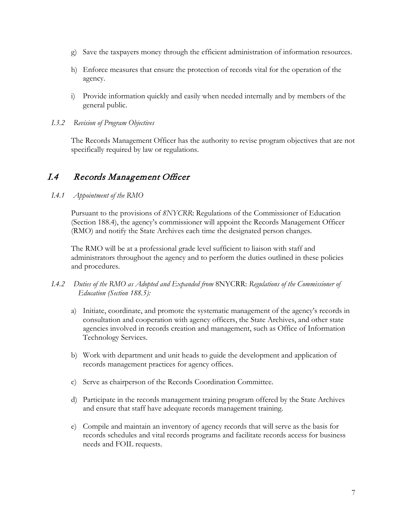- g) Save the taxpayers money through the efficient administration of information resources.
- h) Enforce measures that ensure the protection of records vital for the operation of the agency.
- i) Provide information quickly and easily when needed internally and by members of the general public.
- *I.3.2 Revision of Program Objectives*

The Records Management Officer has the authority to revise program objectives that are not specifically required by law or regulations.

# <span id="page-6-0"></span>I.4 Records Management Officer

*I.4.1 Appointment of the RMO* 

Pursuant to the provisions of *8NYCRR*: Regulations of the Commissioner of Education (Section 188.4), the agency's commissioner will appoint the Records Management Officer (RMO) and notify the State Archives each time the designated person changes.

The RMO will be at a professional grade level sufficient to liaison with staff and administrators throughout the agency and to perform the duties outlined in these policies and procedures.

- *I.4.2 Duties of the RMO as Adopted and Expanded from* 8NYCRR: *Regulations of the Commissioner of Education (Section 188.5):*
	- a) Initiate, coordinate, and promote the systematic management of the agency's records in consultation and cooperation with agency officers, the State Archives, and other state agencies involved in records creation and management, such as Office of Information Technology Services.
	- b) Work with department and unit heads to guide the development and application of records management practices for agency offices.
	- c) Serve as chairperson of the Records Coordination Committee.
	- d) Participate in the records management training program offered by the State Archives and ensure that staff have adequate records management training.
	- e) Compile and maintain an inventory of agency records that will serve as the basis for records schedules and vital records programs and facilitate records access for business needs and FOIL requests.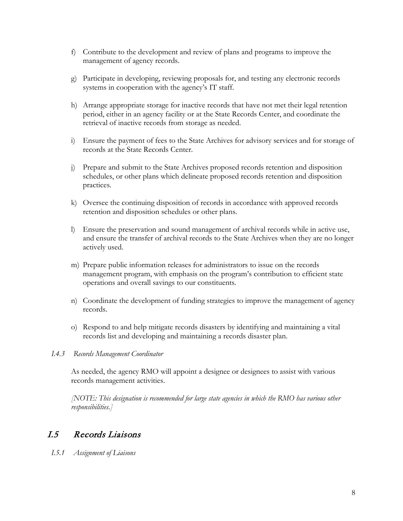- f) Contribute to the development and review of plans and programs to improve the management of agency records.
- g) Participate in developing, reviewing proposals for, and testing any electronic records systems in cooperation with the agency's IT staff.
- h) Arrange appropriate storage for inactive records that have not met their legal retention period, either in an agency facility or at the State Records Center, and coordinate the retrieval of inactive records from storage as needed.
- i) Ensure the payment of fees to the State Archives for advisory services and for storage of records at the State Records Center.
- j) Prepare and submit to the State Archives proposed records retention and disposition schedules, or other plans which delineate proposed records retention and disposition practices.
- k) Oversee the continuing disposition of records in accordance with approved records retention and disposition schedules or other plans.
- l) Ensure the preservation and sound management of archival records while in active use, and ensure the transfer of archival records to the State Archives when they are no longer actively used.
- m) Prepare public information releases for administrators to issue on the records management program, with emphasis on the program's contribution to efficient state operations and overall savings to our constituents.
- n) Coordinate the development of funding strategies to improve the management of agency records.
- o) Respond to and help mitigate records disasters by identifying and maintaining a vital records list and developing and maintaining a records disaster plan.
- *I.4.3 Records Management Coordinator*

As needed, the agency RMO will appoint a designee or designees to assist with various records management activities.

*[NOTE: This designation is recommended for large state agencies in which the RMO has various other responsibilities.]*

### <span id="page-7-0"></span>I.5 Records Liaisons

*I.5.1 Assignment of Liaisons*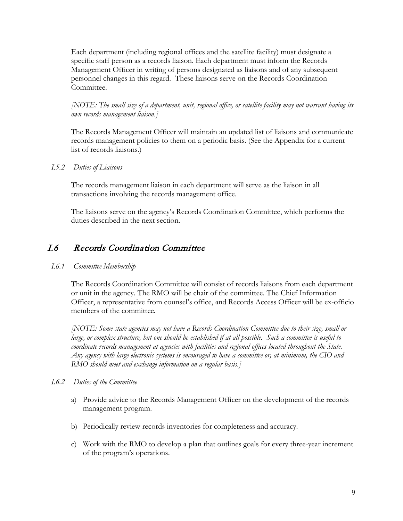Each department (including regional offices and the satellite facility) must designate a specific staff person as a records liaison. Each department must inform the Records Management Officer in writing of persons designated as liaisons and of any subsequent personnel changes in this regard. These liaisons serve on the Records Coordination Committee.

*[NOTE: The small size of a department, unit, regional office, or satellite facility may not warrant having its own records management liaison.]*

The Records Management Officer will maintain an updated list of liaisons and communicate records management policies to them on a periodic basis. (See the Appendix for a current list of records liaisons.)

### *I.5.2 Duties of Liaisons*

The records management liaison in each department will serve as the liaison in all transactions involving the records management office.

The liaisons serve on the agency's Records Coordination Committee, which performs the duties described in the next section.

# <span id="page-8-0"></span>I.6 Records Coordination Committee

### *I.6.1 Committee Membership*

The Records Coordination Committee will consist of records liaisons from each department or unit in the agency. The RMO will be chair of the committee. The Chief Information Officer, a representative from counsel's office, and Records Access Officer will be ex-officio members of the committee*.* 

*[NOTE: Some state agencies may not have a Records Coordination Committee due to their size, small or large, or complex structure, but one should be established if at all possible. Such a committee is useful to coordinate records management at agencies with facilities and regional offices located throughout the State. Any agency with large electronic systems is encouraged to have a committee or, at minimum, the CIO and RMO should meet and exchange information on a regular basis.]*

#### *I.6.2 Duties of the Committee*

- a) Provide advice to the Records Management Officer on the development of the records management program.
- b) Periodically review records inventories for completeness and accuracy.
- c) Work with the RMO to develop a plan that outlines goals for every three-year increment of the program's operations.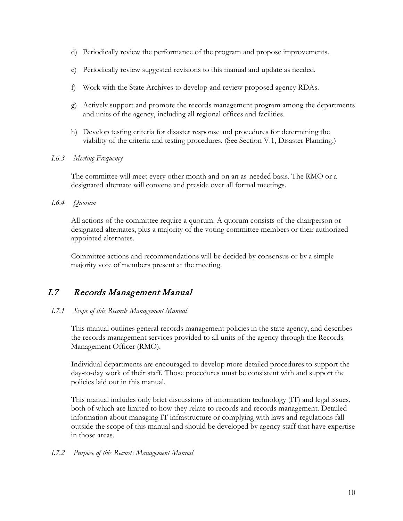- d) Periodically review the performance of the program and propose improvements.
- e) Periodically review suggested revisions to this manual and update as needed.
- f) Work with the State Archives to develop and review proposed agency RDAs.
- g) Actively support and promote the records management program among the departments and units of the agency, including all regional offices and facilities.
- h) Develop testing criteria for disaster response and procedures for determining the viability of the criteria and testing procedures. (See Section V.1, Disaster Planning.)

#### *I.6.3 Meeting Frequency*

The committee will meet every other month and on an as-needed basis. The RMO or a designated alternate will convene and preside over all formal meetings.

### *I.6.4 Quorum*

All actions of the committee require a quorum. A quorum consists of the chairperson or designated alternates, plus a majority of the voting committee members or their authorized appointed alternates.

Committee actions and recommendations will be decided by consensus or by a simple majority vote of members present at the meeting.

# <span id="page-9-0"></span>I.7 Records Management Manual

### *I.7.1 Scope of this Records Management Manual*

This manual outlines general records management policies in the state agency, and describes the records management services provided to all units of the agency through the Records Management Officer (RMO).

Individual departments are encouraged to develop more detailed procedures to support the day-to-day work of their staff. Those procedures must be consistent with and support the policies laid out in this manual.

This manual includes only brief discussions of information technology (IT) and legal issues, both of which are limited to how they relate to records and records management. Detailed information about managing IT infrastructure or complying with laws and regulations fall outside the scope of this manual and should be developed by agency staff that have expertise in those areas.

### *I.7.2 Purpose of this Records Management Manual*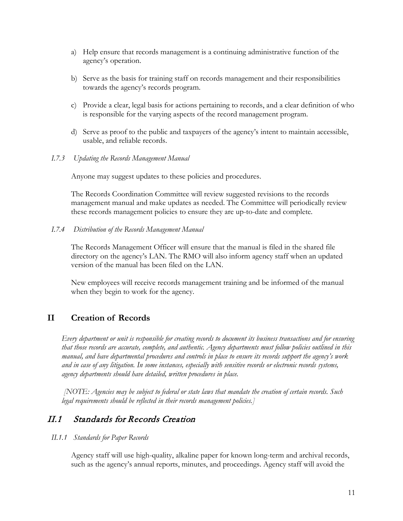- a) Help ensure that records management is a continuing administrative function of the agency's operation.
- b) Serve as the basis for training staff on records management and their responsibilities towards the agency's records program.
- c) Provide a clear, legal basis for actions pertaining to records, and a clear definition of who is responsible for the varying aspects of the record management program.
- d) Serve as proof to the public and taxpayers of the agency's intent to maintain accessible, usable, and reliable records.

#### *I.7.3 Updating the Records Management Manual*

Anyone may suggest updates to these policies and procedures.

The Records Coordination Committee will review suggested revisions to the records management manual and make updates as needed. The Committee will periodically review these records management policies to ensure they are up-to-date and complete*.* 

*I.7.4 Distribution of the Records Management Manual*

The Records Management Officer will ensure that the manual is filed in the shared file directory on the agency's LAN. The RMO will also inform agency staff when an updated version of the manual has been filed on the LAN.

New employees will receive records management training and be informed of the manual when they begin to work for the agency.

### <span id="page-10-0"></span>**II Creation of Records**

*Every department or unit is responsible for creating records to document its business transactions and for ensuring that those records are accurate, complete, and authentic. Agency departments must follow policies outlined in this manual, and have departmental procedures and controls in place to ensure its records support the agency's work and in case of any litigation. In some instances, especially with sensitive records or electronic records systems, agency departments should have detailed, written procedures in place.*

*[NOTE: Agencies may be subject to federal or state laws that mandate the creation of certain records. Such legal requirements should be reflected in their records management policies.]*

# <span id="page-10-1"></span>II.1 Standards for Records Creation

#### *II.1.1 Standards for Paper Records*

Agency staff will use high-quality, alkaline paper for known long-term and archival records, such as the agency's annual reports, minutes, and proceedings. Agency staff will avoid the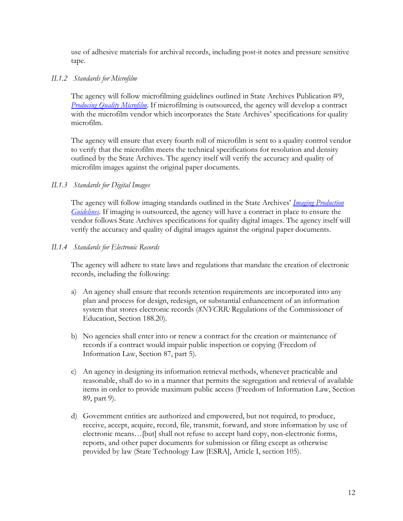use of adhesive materials for archival records, including post-it notes and pressure sensitive tape.

### *II.1.2 Standards for Microfilm*

The agency will follow microfilming guidelines outlined in State Archives Publication #9, *Producing [Quality Microfilm](http://www.archives.nysed.gov/common/archives/files/mr_pub9.pdf)*. If microfilming is outsourced, the agency will develop a contract with the microfilm vendor which incorporates the State Archives' specifications for quality microfilm.

The agency will ensure that every fourth roll of microfilm is sent to a quality control vendor to verify that the microfilm meets the technical specifications for resolution and density outlined by the State Archives. The agency itself will verify the accuracy and quality of microfilm images against the original paper documents.

### *II.1.3 Standards for Digital Images*

The agency will follow imaging standards outlined in the State Archives' *[Imaging Production](http://www.archives.nysed.gov/common/archives/files/mr_erecords_imgguides.pdf)  [Guidelines](http://www.archives.nysed.gov/common/archives/files/mr_erecords_imgguides.pdf)*. If imaging is outsourced, the agency will have a contract in place to ensure the vendor follows State Archives specifications for quality digital images. The agency itself will verify the accuracy and quality of digital images against the original paper documents.

### *II.1.4 Standards for Electronic Records*

The agency will adhere to state laws and regulations that mandate the creation of electronic records, including the following:

- a) An agency shall ensure that records retention requirements are incorporated into any plan and process for design, redesign, or substantial enhancement of an information system that stores electronic records (*8NYCRR:* Regulations of the Commissioner of Education, Section 188.20).
- b) No agencies shall enter into or renew a contract for the creation or maintenance of records if a contract would impair public inspection or copying (Freedom of Information Law, Section 87, part 5).
- c) An agency in designing its information retrieval methods, whenever practicable and reasonable, shall do so in a manner that permits the segregation and retrieval of available items in order to provide maximum public access (Freedom of Information Law, Section 89, part 9).
- d) Government entities are authorized and empowered, but not required, to produce, receive, accept, acquire, record, file, transmit, forward, and store information by use of electronic means…[but] shall not refuse to accept hard copy, non-electronic forms, reports, and other paper documents for submission or filing except as otherwise provided by law (State Technology Law [ESRA], Article I, section 105).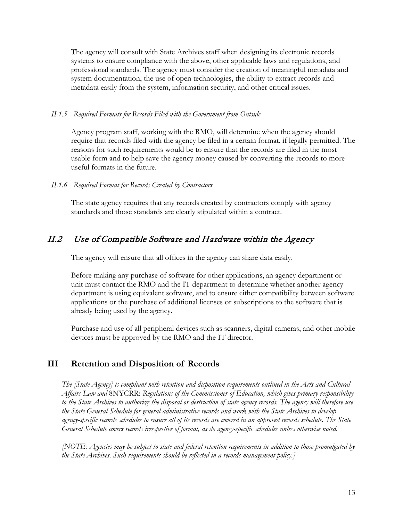The agency will consult with State Archives staff when designing its electronic records systems to ensure compliance with the above, other applicable laws and regulations, and professional standards. The agency must consider the creation of meaningful metadata and system documentation, the use of open technologies, the ability to extract records and metadata easily from the system, information security, and other critical issues.

### *II.1.5 Required Formats for Records Filed with the Government from Outside*

Agency program staff, working with the RMO, will determine when the agency should require that records filed with the agency be filed in a certain format, if legally permitted. The reasons for such requirements would be to ensure that the records are filed in the most usable form and to help save the agency money caused by converting the records to more useful formats in the future.

#### *II.1.6 Required Format for Records Created by Contractors*

The state agency requires that any records created by contractors comply with agency standards and those standards are clearly stipulated within a contract.

# <span id="page-12-0"></span>II.2 Use of Compatible Software and Hardware within the Agency

The agency will ensure that all offices in the agency can share data easily.

Before making any purchase of software for other applications, an agency department or unit must contact the RMO and the IT department to determine whether another agency department is using equivalent software, and to ensure either compatibility between software applications or the purchase of additional licenses or subscriptions to the software that is already being used by the agency.

Purchase and use of all peripheral devices such as scanners, digital cameras, and other mobile devices must be approved by the RMO and the IT director.

### <span id="page-12-1"></span>**III Retention and Disposition of Records**

*The [State Agency] is compliant with retention and disposition requirements outlined in the Arts and Cultural Affairs Law and* 8NYCRR: *Regulations of the Commissioner of Education, which gives primary responsibility to the State Archives to authorize the disposal or destruction of state agency records. The agency will therefore use the State General Schedule for general administrative records and work with the State Archives to develop agency-specific records schedules to ensure all of its records are covered in an approved records schedule. The State General Schedule covers records irrespective of format, as do agency-specific schedules unless otherwise noted.*

*[NOTE: Agencies may be subject to state and federal retention requirements in addition to those promulgated by the State Archives. Such requirements should be reflected in a records management policy.]*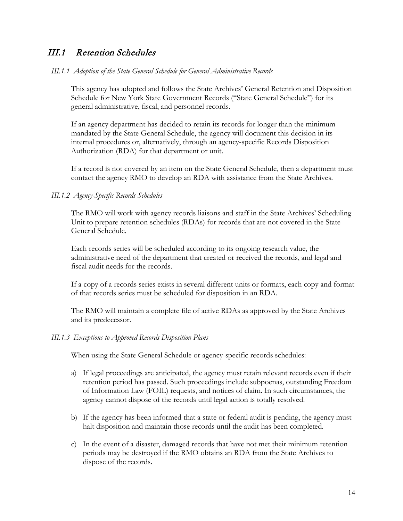# <span id="page-13-0"></span>III.1 Retention Schedules

#### *III.1.1 Adoption of the State General Schedule for General Administrative Records*

This agency has adopted and follows the State Archives' General Retention and Disposition Schedule for New York State Government Records ("State General Schedule") for its general administrative, fiscal, and personnel records.

If an agency department has decided to retain its records for longer than the minimum mandated by the State General Schedule, the agency will document this decision in its internal procedures or, alternatively, through an agency-specific Records Disposition Authorization (RDA) for that department or unit.

If a record is not covered by an item on the State General Schedule, then a department must contact the agency RMO to develop an RDA with assistance from the State Archives.

#### *III.1.2 Agency-Specific Records Schedules*

The RMO will work with agency records liaisons and staff in the State Archives' Scheduling Unit to prepare retention schedules (RDAs) for records that are not covered in the State General Schedule.

Each records series will be scheduled according to its ongoing research value, the administrative need of the department that created or received the records, and legal and fiscal audit needs for the records.

If a copy of a records series exists in several different units or formats, each copy and format of that records series must be scheduled for disposition in an RDA.

The RMO will maintain a complete file of active RDAs as approved by the State Archives and its predecessor.

#### *III.1.3 Exceptions to Approved Records Disposition Plans*

When using the State General Schedule or agency-specific records schedules:

- a) If legal proceedings are anticipated, the agency must retain relevant records even if their retention period has passed. Such proceedings include subpoenas, outstanding Freedom of Information Law (FOIL) requests, and notices of claim. In such circumstances, the agency cannot dispose of the records until legal action is totally resolved.
- b) If the agency has been informed that a state or federal audit is pending, the agency must halt disposition and maintain those records until the audit has been completed.
- c) In the event of a disaster, damaged records that have not met their minimum retention periods may be destroyed if the RMO obtains an RDA from the State Archives to dispose of the records.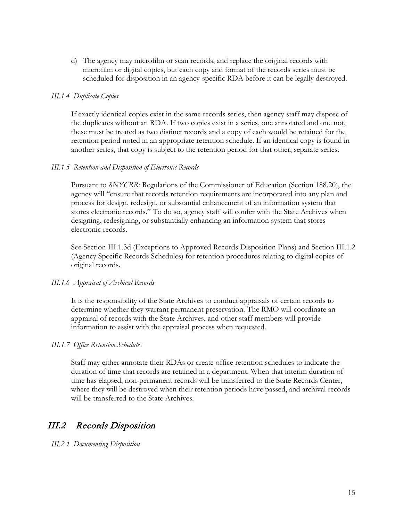d) The agency may microfilm or scan records, and replace the original records with microfilm or digital copies, but each copy and format of the records series must be scheduled for disposition in an agency-specific RDA before it can be legally destroyed.

#### *III.1.4 Duplicate Copies*

If exactly identical copies exist in the same records series, then agency staff may dispose of the duplicates without an RDA. If two copies exist in a series, one annotated and one not, these must be treated as two distinct records and a copy of each would be retained for the retention period noted in an appropriate retention schedule. If an identical copy is found in another series, that copy is subject to the retention period for that other, separate series.

#### *III.1.5 Retention and Disposition of Electronic Records*

Pursuant to *8NYCRR:* Regulations of the Commissioner of Education (Section 188.20), the agency will "ensure that records retention requirements are incorporated into any plan and process for design, redesign, or substantial enhancement of an information system that stores electronic records." To do so, agency staff will confer with the State Archives when designing, redesigning, or substantially enhancing an information system that stores electronic records.

See Section III.1.3d (Exceptions to Approved Records Disposition Plans) and Section III.1.2 (Agency Specific Records Schedules) for retention procedures relating to digital copies of original records.

#### *III.1.6 Appraisal of Archival Records*

It is the responsibility of the State Archives to conduct appraisals of certain records to determine whether they warrant permanent preservation. The RMO will coordinate an appraisal of records with the State Archives, and other staff members will provide information to assist with the appraisal process when requested.

#### *III.1.7 Office Retention Schedules*

Staff may either annotate their RDAs or create office retention schedules to indicate the duration of time that records are retained in a department. When that interim duration of time has elapsed, non-permanent records will be transferred to the State Records Center, where they will be destroyed when their retention periods have passed, and archival records will be transferred to the State Archives.

# <span id="page-14-0"></span>III.2 Records Disposition

*III.2.1 Documenting Disposition*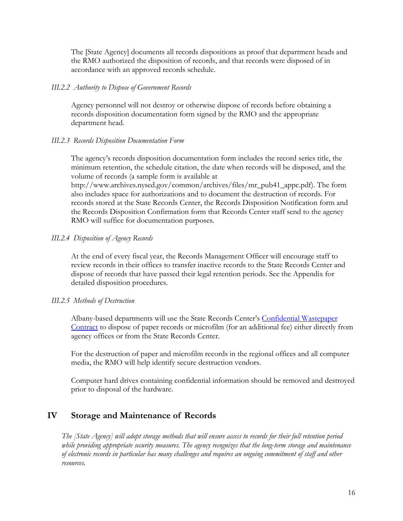The [State Agency] documents all records dispositions as proof that department heads and the RMO authorized the disposition of records, and that records were disposed of in accordance with an approved records schedule.

#### *III.2.2 Authority to Dispose of Government Records*

Agency personnel will not destroy or otherwise dispose of records before obtaining a records disposition documentation form signed by the RMO and the appropriate department head.

### *III.2.3 Records Disposition Documentation Form*

The agency's records disposition documentation form includes the record series title, the minimum retention, the schedule citation, the date when records will be disposed, and the volume of records (a sample form is available at

http://www.archives.nysed.gov/common/archives/files/mr\_pub41\_appc.pdf). The form also includes space for authorizations and to document the destruction of records. For records stored at the State Records Center, the Records Disposition Notification form and the Records Disposition Confirmation form that Records Center staff send to the agency RMO will suffice for documentation purposes.

### *III.2.4 Disposition of Agency Records*

At the end of every fiscal year, the Records Management Officer will encourage staff to review records in their offices to transfer inactive records to the State Records Center and dispose of records that have passed their legal retention periods. See the Appendix for detailed disposition procedures.

### *III.2.5 Methods of Destruction*

Albany-based departments will use the State Records Center's [Confidential Wastepaper](http://www.archives.nysed.gov/records/state-records-center-wastepaper-contract)  [Contract](http://www.archives.nysed.gov/records/state-records-center-wastepaper-contract) to dispose of paper records or microfilm (for an additional fee) either directly from agency offices or from the State Records Center.

For the destruction of paper and microfilm records in the regional offices and all computer media, the RMO will help identify secure destruction vendors.

Computer hard drives containing confidential information should be removed and destroyed prior to disposal of the hardware.

### <span id="page-15-0"></span>**IV Storage and Maintenance of Records**

*The [State Agency] will adopt storage methods that will ensure access to records for their full retention period while providing appropriate security measures. The agency recognizes that the long-term storage and maintenance of electronic records in particular has many challenges and requires an ongoing commitment of staff and other resources.*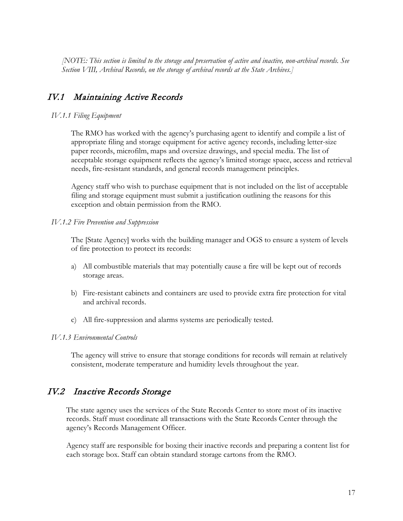*[NOTE: This section is limited to the storage and preservation of active and inactive, non-archival records. See Section VIII, Archival Records, on the storage of archival records at the State Archives.]* 

# <span id="page-16-0"></span>IV.1 Maintaining Active Records

#### *IV.1.1 Filing Equipment*

The RMO has worked with the agency's purchasing agent to identify and compile a list of appropriate filing and storage equipment for active agency records, including letter-size paper records, microfilm, maps and oversize drawings, and special media. The list of acceptable storage equipment reflects the agency's limited storage space, access and retrieval needs, fire-resistant standards, and general records management principles.

Agency staff who wish to purchase equipment that is not included on the list of acceptable filing and storage equipment must submit a justification outlining the reasons for this exception and obtain permission from the RMO.

#### *IV.1.2 Fire Prevention and Suppression*

The [State Agency] works with the building manager and OGS to ensure a system of levels of fire protection to protect its records:

- a) All combustible materials that may potentially cause a fire will be kept out of records storage areas.
- b) Fire-resistant cabinets and containers are used to provide extra fire protection for vital and archival records.
- c) All fire-suppression and alarms systems are periodically tested.

#### *IV.1.3 Environmental Controls*

The agency will strive to ensure that storage conditions for records will remain at relatively consistent, moderate temperature and humidity levels throughout the year.

# <span id="page-16-1"></span>IV.2 Inactive Records Storage

The state agency uses the services of the State Records Center to store most of its inactive records. Staff must coordinate all transactions with the State Records Center through the agency's Records Management Officer.

Agency staff are responsible for boxing their inactive records and preparing a content list for each storage box. Staff can obtain standard storage cartons from the RMO.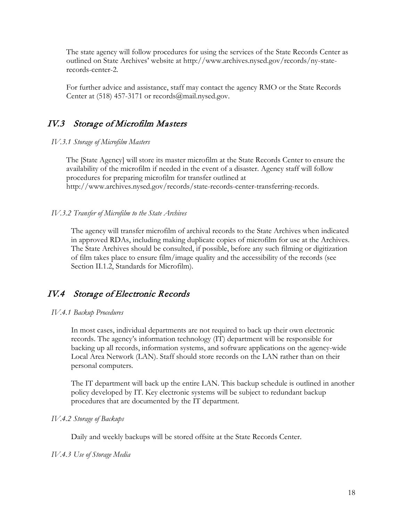The state agency will follow procedures for using the services of the State Records Center as outlined on State Archives' website at http://www.archives.nysed.gov/records/ny-staterecords-center-2.

For further advice and assistance, staff may contact the agency RMO or the State Records Center at (518) 457-3171 or [records@mail.nysed.gov.](mailto:records@mail.nysed.gov)

# <span id="page-17-0"></span>IV.3 Storage of Microfilm Masters

#### *IV.3.1 Storage of Microfilm Masters*

The [State Agency] will store its master microfilm at the State Records Center to ensure the availability of the microfilm if needed in the event of a disaster. Agency staff will follow procedures for preparing microfilm for transfer outlined at http://www.archives.nysed.gov/records/state-records-center-transferring-records.

### *IV.3.2 Transfer of Microfilm to the State Archives*

The agency will transfer microfilm of archival records to the State Archives when indicated in approved RDAs, including making duplicate copies of microfilm for use at the Archives. The State Archives should be consulted, if possible, before any such filming or digitization of film takes place to ensure film/image quality and the accessibility of the records (see Section II.1.2, Standards for Microfilm).

# <span id="page-17-1"></span>IV.4 Storage of Electronic Records

### *IV.4.1 Backup Procedures*

In most cases, individual departments are not required to back up their own electronic records. The agency's information technology (IT) department will be responsible for backing up all records, information systems, and software applications on the agency-wide Local Area Network (LAN). Staff should store records on the LAN rather than on their personal computers.

The IT department will back up the entire LAN. This backup schedule is outlined in another policy developed by IT. Key electronic systems will be subject to redundant backup procedures that are documented by the IT department.

### *IV.4.2 Storage of Backups*

Daily and weekly backups will be stored offsite at the State Records Center.

### *IV.4.3 Use of Storage Media*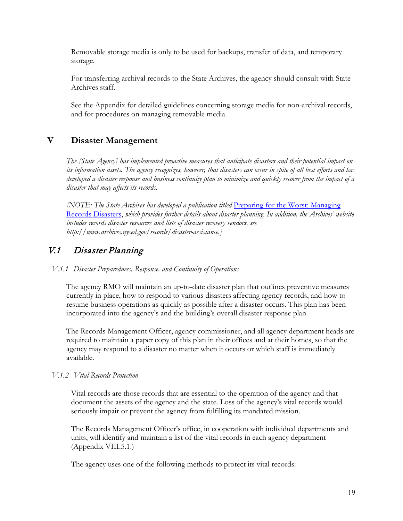Removable storage media is only to be used for backups, transfer of data, and temporary storage.

For transferring archival records to the State Archives, the agency should consult with State Archives staff.

See the Appendix for detailed guidelines concerning storage media for non-archival records, and for procedures on managing removable media.

# <span id="page-18-0"></span>**V Disaster Management**

*The [State Agency] has implemented proactive measures that anticipate disasters and their potential impact on its information assets. The agency recognizes, however, that disasters can occur in spite of all best efforts and has developed a disaster response and business continuity plan to minimize and quickly recover from the impact of a disaster that may affects its records.*

*[NOTE: The State Archives has developed a publication titled* [Preparing for the Worst: Managing](http://www.archives.nysed.gov/common/archives/files/mr_pub82.pdf)  [Records Disasters,](http://www.archives.nysed.gov/common/archives/files/mr_pub82.pdf) *which provides further details about disaster planning. In addition, the Archives' website includes records disaster resources and lists of disaster recovery vendors, see http://www.archives.nysed.gov/records/disaster-assistance.]*

# <span id="page-18-1"></span>V.1 Disaster Planning

*V.1.1 Disaster Preparedness, Response, and Continuity of Operations*

The agency RMO will maintain an up-to-date disaster plan that outlines preventive measures currently in place, how to respond to various disasters affecting agency records, and how to resume business operations as quickly as possible after a disaster occurs. This plan has been incorporated into the agency's and the building's overall disaster response plan.

The Records Management Officer, agency commissioner, and all agency department heads are required to maintain a paper copy of this plan in their offices and at their homes, so that the agency may respond to a disaster no matter when it occurs or which staff is immediately available.

### *V.1.2 Vital Records Protection*

Vital records are those records that are essential to the operation of the agency and that document the assets of the agency and the state. Loss of the agency's vital records would seriously impair or prevent the agency from fulfilling its mandated mission.

The Records Management Officer's office, in cooperation with individual departments and units, will identify and maintain a list of the vital records in each agency department (Appendix VIII.5.1.)

The agency uses one of the following methods to protect its vital records: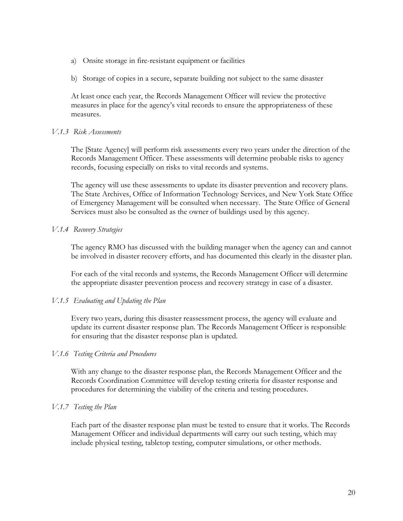- a) Onsite storage in fire-resistant equipment or facilities
- b) Storage of copies in a secure, separate building not subject to the same disaster

At least once each year, the Records Management Officer will review the protective measures in place for the agency's vital records to ensure the appropriateness of these measures.

### *V.1.3 Risk Assessments*

The [State Agency] will perform risk assessments every two years under the direction of the Records Management Officer. These assessments will determine probable risks to agency records, focusing especially on risks to vital records and systems.

The agency will use these assessments to update its disaster prevention and recovery plans. The State Archives, Office of Information Technology Services, and New York State Office of Emergency Management will be consulted when necessary. The State Office of General Services must also be consulted as the owner of buildings used by this agency.

### *V.1.4 Recovery Strategies*

The agency RMO has discussed with the building manager when the agency can and cannot be involved in disaster recovery efforts, and has documented this clearly in the disaster plan.

For each of the vital records and systems, the Records Management Officer will determine the appropriate disaster prevention process and recovery strategy in case of a disaster.

### *V.1.5 Evaluating and Updating the Plan*

Every two years, during this disaster reassessment process, the agency will evaluate and update its current disaster response plan. The Records Management Officer is responsible for ensuring that the disaster response plan is updated.

### *V.1.6 Testing Criteria and Procedures*

With any change to the disaster response plan, the Records Management Officer and the Records Coordination Committee will develop testing criteria for disaster response and procedures for determining the viability of the criteria and testing procedures.

### *V.1.7 Testing the Plan*

Each part of the disaster response plan must be tested to ensure that it works. The Records Management Officer and individual departments will carry out such testing, which may include physical testing, tabletop testing, computer simulations, or other methods.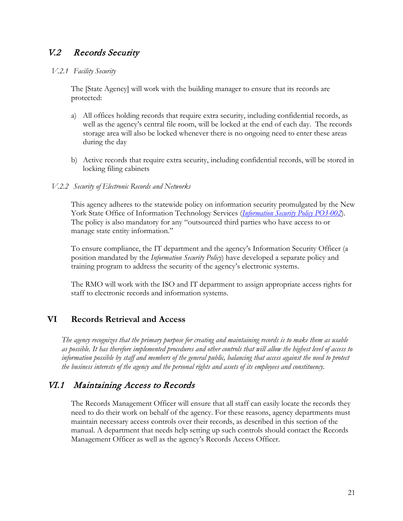# <span id="page-20-0"></span>V.2 Records Security

#### *V.2.1 Facility Security*

The [State Agency] will work with the building manager to ensure that its records are protected:

- a) All offices holding records that require extra security, including confidential records, as well as the agency's central file room, will be locked at the end of each day. The records storage area will also be locked whenever there is no ongoing need to enter these areas during the day
- b) Active records that require extra security, including confidential records, will be stored in locking filing cabinets

#### *V.2.2 Security of Electronic Records and Networks*

This agency adheres to the statewide policy on information security promulgated by the New York State Office of Information Technology Services (*Information [Security Policy](https://its.ny.gov/sites/default/files/documents/nys-p03-002_information_security_policy_5.pdf) PO3-002*). The policy is also mandatory for any "outsourced third parties who have access to or manage state entity information."

To ensure compliance, the IT department and the agency's Information Security Officer (a position mandated by the *Information Security Policy*) have developed a separate policy and training program to address the security of the agency's electronic systems.

The RMO will work with the ISO and IT department to assign appropriate access rights for staff to electronic records and information systems.

### <span id="page-20-1"></span>**VI Records Retrieval and Access**

*The agency recognizes that the primary purpose for creating and maintaining records is to make them as usable as possible. It has therefore implemented procedures and other controls that will allow the highest level of access to information possible by staff and members of the general public, balancing that access against the need to protect the business interests of the agency and the personal rights and assets of its employees and constituency.*

### <span id="page-20-2"></span>VI.1 Maintaining Access to Records

The Records Management Officer will ensure that all staff can easily locate the records they need to do their work on behalf of the agency. For these reasons, agency departments must maintain necessary access controls over their records, as described in this section of the manual. A department that needs help setting up such controls should contact the Records Management Officer as well as the agency's Records Access Officer.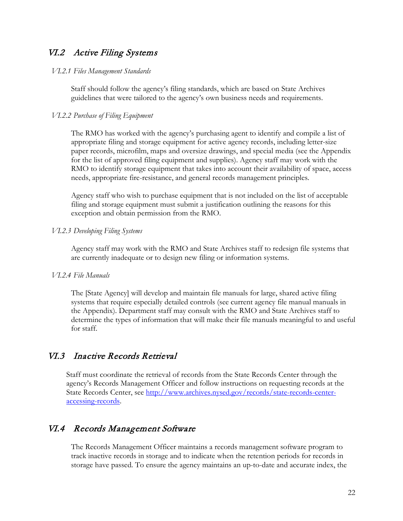# <span id="page-21-0"></span>VI.2 Active Filing Systems

#### *VI.2.1 Files Management Standards*

Staff should follow the agency's filing standards, which are based on State Archives guidelines that were tailored to the agency's own business needs and requirements.

### *VI.2.2 Purchase of Filing Equipment*

The RMO has worked with the agency's purchasing agent to identify and compile a list of appropriate filing and storage equipment for active agency records, including letter-size paper records, microfilm, maps and oversize drawings, and special media (see the Appendix for the list of approved filing equipment and supplies). Agency staff may work with the RMO to identify storage equipment that takes into account their availability of space, access needs, appropriate fire-resistance, and general records management principles.

Agency staff who wish to purchase equipment that is not included on the list of acceptable filing and storage equipment must submit a justification outlining the reasons for this exception and obtain permission from the RMO.

#### *VI.2.3 Developing Filing Systems*

Agency staff may work with the RMO and State Archives staff to redesign file systems that are currently inadequate or to design new filing or information systems.

#### *VI.2.4 File Manuals*

The [State Agency] will develop and maintain file manuals for large, shared active filing systems that require especially detailed controls (see current agency file manual manuals in the Appendix). Department staff may consult with the RMO and State Archives staff to determine the types of information that will make their file manuals meaningful to and useful for staff.

### <span id="page-21-1"></span>VI.3 Inactive Records Retrieval

Staff must coordinate the retrieval of records from the State Records Center through the agency's Records Management Officer and follow instructions on requesting records at the State Records Center, see [http://www.archives.nysed.gov/records/state-records-center](http://www.archives.nysed.gov/records/state-records-center-accessing-records)[accessing-records.](http://www.archives.nysed.gov/records/state-records-center-accessing-records)

### <span id="page-21-2"></span>VI.4 Records Management Software

The Records Management Officer maintains a records management software program to track inactive records in storage and to indicate when the retention periods for records in storage have passed. To ensure the agency maintains an up-to-date and accurate index, the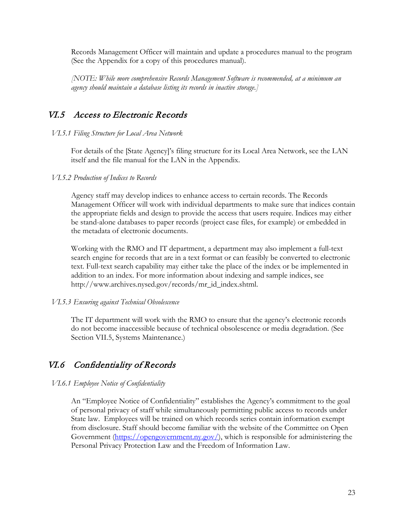Records Management Officer will maintain and update a procedures manual to the program (See the Appendix for a copy of this procedures manual).

*[NOTE: While more comprehensive Records Management Software is recommended, at a minimum an agency should maintain a database listing its records in inactive storage.]*

# <span id="page-22-0"></span>VI.5 Access to Electronic Records

*VI.5.1 Filing Structure for Local Area Network*

For details of the [State Agency]'s filing structure for its Local Area Network, see the LAN itself and the file manual for the LAN in the Appendix.

#### *VI.5.2 Production of Indices to Records*

Agency staff may develop indices to enhance access to certain records. The Records Management Officer will work with individual departments to make sure that indices contain the appropriate fields and design to provide the access that users require. Indices may either be stand-alone databases to paper records (project case files, for example) or embedded in the metadata of electronic documents.

Working with the RMO and IT department, a department may also implement a full-text search engine for records that are in a text format or can feasibly be converted to electronic text. Full-text search capability may either take the place of the index or be implemented in addition to an index. For more information about indexing and sample indices, see http://www.archives.nysed.gov/records/mr\_id\_index.shtml.

### *VI.5.3 Ensuring against Technical Obsolescence*

The IT department will work with the RMO to ensure that the agency's electronic records do not become inaccessible because of technical obsolescence or media degradation. (See Section VII.5, Systems Maintenance.)

# <span id="page-22-1"></span>VI.6 Confidentiality of Records

### *VI.6.1 Employee Notice of Confidentiality*

An "Employee Notice of Confidentiality" establishes the Agency's commitment to the goal of personal privacy of staff while simultaneously permitting public access to records under State law. Employees will be trained on which records series contain information exempt from disclosure. Staff should become familiar with the website of the Committee on Open Government  $(\frac{https://opengeverment.ny.gov/}{https://opengeverment.ny.gov/})$ , which is responsible for administering the Personal Privacy Protection Law and the Freedom of Information Law.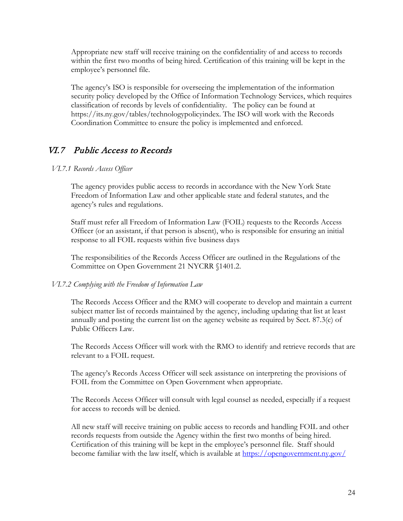Appropriate new staff will receive training on the confidentiality of and access to records within the first two months of being hired. Certification of this training will be kept in the employee's personnel file.

The agency's ISO is responsible for overseeing the implementation of the information security policy developed by the Office of Information Technology Services, which requires classification of records by levels of confidentiality. The policy can be found at https://its.ny.gov/tables/technologypolicyindex. The ISO will work with the Records Coordination Committee to ensure the policy is implemented and enforced.

# <span id="page-23-0"></span>VI.7 Public Access to Records

### *VI.7.1 Records Access Officer*

The agency provides public access to records in accordance with the New York State Freedom of Information Law and other applicable state and federal statutes, and the agency's rules and regulations.

Staff must refer all Freedom of Information Law (FOIL) requests to the Records Access Officer (or an assistant, if that person is absent), who is responsible for ensuring an initial response to all FOIL requests within five business days

The responsibilities of the Records Access Officer are outlined in the Regulations of the Committee on Open Government 21 NYCRR §1401.2.

### *VI.7.2 Complying with the Freedom of Information Law*

The Records Access Officer and the RMO will cooperate to develop and maintain a current subject matter list of records maintained by the agency, including updating that list at least annually and posting the current list on the agency website as required by Sect. 87.3(c) of Public Officers Law.

The Records Access Officer will work with the RMO to identify and retrieve records that are relevant to a FOIL request.

The agency's Records Access Officer will seek assistance on interpreting the provisions of FOIL from the Committee on Open Government when appropriate.

The Records Access Officer will consult with legal counsel as needed, especially if a request for access to records will be denied.

All new staff will receive training on public access to records and handling FOIL and other records requests from outside the Agency within the first two months of being hired. Certification of this training will be kept in the employee's personnel file. Staff should become familiar with the law itself, which is available at https://opengovernment.ny.gov/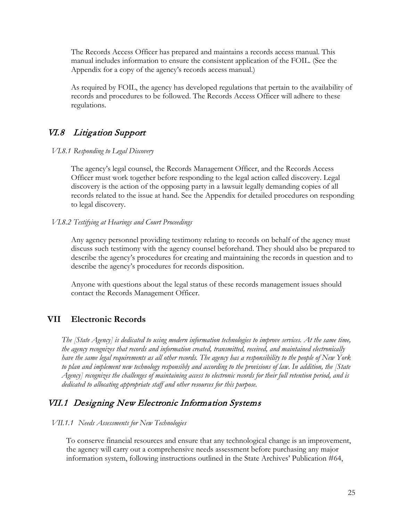The Records Access Officer has prepared and maintains a records access manual. This manual includes information to ensure the consistent application of the FOIL. (See the Appendix for a copy of the agency's records access manual.)

As required by FOIL, the agency has developed regulations that pertain to the availability of records and procedures to be followed. The Records Access Officer will adhere to these regulations.

# <span id="page-24-0"></span>VI.8 Litigation Support

#### *VI.8.1 Responding to Legal Discovery*

The agency's legal counsel, the Records Management Officer, and the Records Access Officer must work together before responding to the legal action called discovery. Legal discovery is the action of the opposing party in a lawsuit legally demanding copies of all records related to the issue at hand. See the Appendix for detailed procedures on responding to legal discovery.

### *VI.8.2 Testifying at Hearings and Court Proceedings*

Any agency personnel providing testimony relating to records on behalf of the agency must discuss such testimony with the agency counsel beforehand. They should also be prepared to describe the agency's procedures for creating and maintaining the records in question and to describe the agency's procedures for records disposition.

Anyone with questions about the legal status of these records management issues should contact the Records Management Officer.

### <span id="page-24-1"></span>**VII Electronic Records**

*The [State Agency] is dedicated to using modern information technologies to improve services. At the same time, the agency recognizes that records and information created, transmitted, received, and maintained electronically have the same legal requirements as all other records. The agency has a responsibility to the people of New York to plan and implement new technology responsibly and according to the provisions of law. In addition, the [State Agency] recognizes the challenges of maintaining access to electronic records for their full retention period, and is dedicated to allocating appropriate staff and other resources for this purpose.* 

# <span id="page-24-2"></span>VII.1 Designing New Electronic Information Systems

### *VII.1.1 Needs Assessments for New Technologies*

To conserve financial resources and ensure that any technological change is an improvement, the agency will carry out a comprehensive needs assessment before purchasing any major information system, following instructions outlined in the State Archives' Publication #64,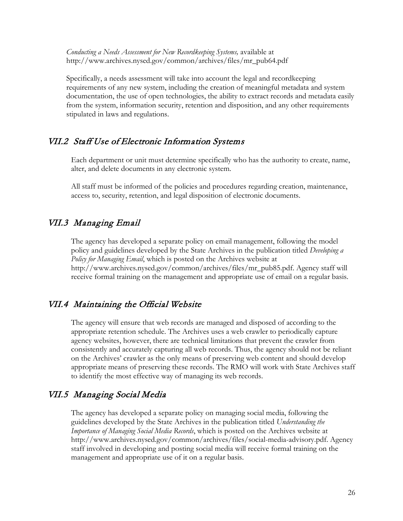*Conducting a Needs Assessment for New Recordkeeping Systems, available at* http://www.archives.nysed.gov/common/archives/files/mr\_pub64.pdf

Specifically, a needs assessment will take into account the legal and recordkeeping requirements of any new system, including the creation of meaningful metadata and system documentation, the use of open technologies, the ability to extract records and metadata easily from the system, information security, retention and disposition, and any other requirements stipulated in laws and regulations.

### <span id="page-25-0"></span>VII.2 Staff Use of Electronic Information Systems

Each department or unit must determine specifically who has the authority to create, name, alter, and delete documents in any electronic system.

All staff must be informed of the policies and procedures regarding creation, maintenance, access to, security, retention, and legal disposition of electronic documents.

# <span id="page-25-1"></span>VII.3 Managing Email

The agency has developed a separate policy on email management, following the model policy and guidelines developed by the State Archives in the publication titled *Developing a Policy for Managing Email*, which is posted on the Archives website at http://www.archives.nysed.gov/common/archives/files/mr\_pub85.pdf. Agency staff will receive formal training on the management and appropriate use of email on a regular basis.

# <span id="page-25-2"></span>VII.4 Maintaining the Official Website

The agency will ensure that web records are managed and disposed of according to the appropriate retention schedule. The Archives uses a web crawler to periodically capture agency websites, however, there are technical limitations that prevent the crawler from consistently and accurately capturing all web records. Thus, the agency should not be reliant on the Archives' crawler as the only means of preserving web content and should develop appropriate means of preserving these records. The RMO will work with State Archives staff to identify the most effective way of managing its web records.

### VII.5 Managing Social Media

The agency has developed a separate policy on managing social media, following the guidelines developed by the State Archives in the publication titled *Understanding the Importance of Managing Social Media Records*, which is posted on the Archives website at http://www.archives.nysed.gov/common/archives/files/social-media-advisory.pdf. Agency staff involved in developing and posting social media will receive formal training on the management and appropriate use of it on a regular basis.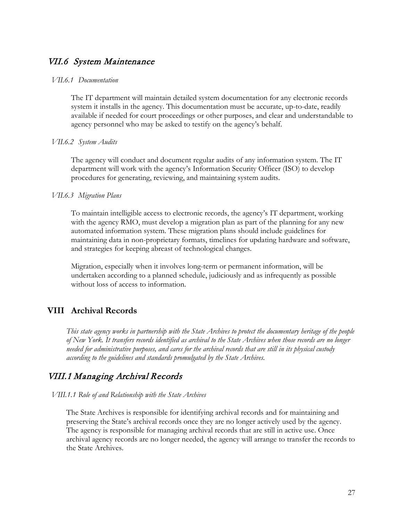### <span id="page-26-0"></span>VII.6 System Maintenance

#### *VII.6.1 Documentation*

The IT department will maintain detailed system documentation for any electronic records system it installs in the agency. This documentation must be accurate, up-to-date, readily available if needed for court proceedings or other purposes, and clear and understandable to agency personnel who may be asked to testify on the agency's behalf.

#### *VII.6.2 System Audits*

The agency will conduct and document regular audits of any information system. The IT department will work with the agency's Information Security Officer (ISO) to develop procedures for generating, reviewing, and maintaining system audits.

#### *VII.6.3 Migration Plans*

To maintain intelligible access to electronic records, the agency's IT department, working with the agency RMO, must develop a migration plan as part of the planning for any new automated information system. These migration plans should include guidelines for maintaining data in non-proprietary formats, timelines for updating hardware and software, and strategies for keeping abreast of technological changes.

Migration, especially when it involves long-term or permanent information, will be undertaken according to a planned schedule, judiciously and as infrequently as possible without loss of access to information.

### <span id="page-26-1"></span>**VIII Archival Records**

*This state agency works in partnership with the State Archives to protect the documentary heritage of the people of New York. It transfers records identified as archival to the State Archives when those records are no longer needed for administrative purposes, and cares for the archival records that are still in its physical custody according to the guidelines and standards promulgated by the State Archives.*

### <span id="page-26-2"></span>VIII.1 Managing Archival Records

*VIII.1.1 Role of and Relationship with the State Archives* 

The State Archives is responsible for identifying archival records and for maintaining and preserving the State's archival records once they are no longer actively used by the agency. The agency is responsible for managing archival records that are still in active use. Once archival agency records are no longer needed, the agency will arrange to transfer the records to the State Archives.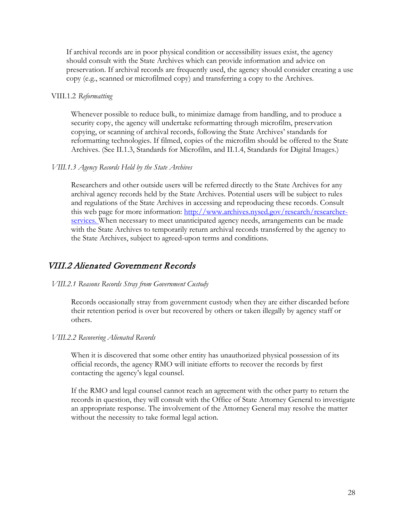If archival records are in poor physical condition or accessibility issues exist, the agency should consult with the State Archives which can provide information and advice on preservation. If archival records are frequently used, the agency should consider creating a use copy (e.g., scanned or microfilmed copy) and transferring a copy to the Archives.

#### VIII.1.2 *Reformatting*

Whenever possible to reduce bulk, to minimize damage from handling, and to produce a security copy, the agency will undertake reformatting through microfilm, preservation copying, or scanning of archival records, following the State Archives' standards for reformatting technologies. If filmed, copies of the microfilm should be offered to the State Archives. (See II.1.3, Standards for Microfilm, and II.1.4, Standards for Digital Images.)

#### *VIII.1.3 Agency Records Held by the State Archives*

Researchers and other outside users will be referred directly to the State Archives for any archival agency records held by the State Archives. Potential users will be subject to rules and regulations of the State Archives in accessing and reproducing these records. Consult this web page for more information: [http://www.archives.nysed.gov/research/researcher](http://www.archives.nysed.gov/research/researcher-services)[services.](http://www.archives.nysed.gov/research/researcher-services) When necessary to meet unanticipated agency needs, arrangements can be made with the State Archives to temporarily return archival records transferred by the agency to the State Archives, subject to agreed-upon terms and conditions.

### <span id="page-27-0"></span>VIII.2 Alienated Government Records

#### *VIII.2.1 Reasons Records Stray from Government Custody*

Records occasionally stray from government custody when they are either discarded before their retention period is over but recovered by others or taken illegally by agency staff or others.

#### *VIII.2.2 Recovering Alienated Records*

When it is discovered that some other entity has unauthorized physical possession of its official records, the agency RMO will initiate efforts to recover the records by first contacting the agency's legal counsel.

If the RMO and legal counsel cannot reach an agreement with the other party to return the records in question, they will consult with the Office of State Attorney General to investigate an appropriate response. The involvement of the Attorney General may resolve the matter without the necessity to take formal legal action.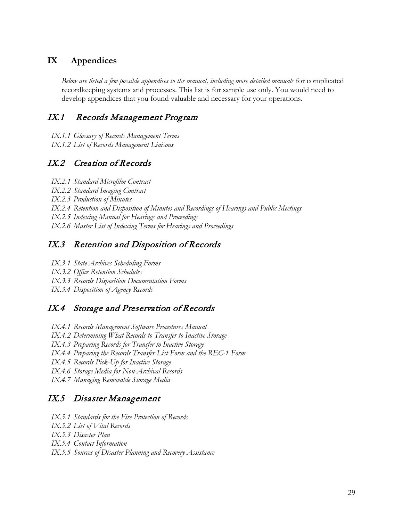## <span id="page-28-0"></span>**IX Appendices**

*Below are listed a few possible appendices to the manual, including more detailed manuals* for complicated recordkeeping systems and processes. This list is for sample use only. You would need to develop appendices that you found valuable and necessary for your operations.

# <span id="page-28-1"></span>IX.1 Records Management Program

- *IX.1.1 Glossary of Records Management Terms*
- *IX.1.2 List of Records Management Liaisons*

# <span id="page-28-2"></span>IX.2 Creation of Records

- *IX.2.1 Standard Microfilm Contract*
- *IX.2.2 Standard Imaging Contract*
- *IX.2.3 Production of Minutes*
- *IX.2.4 Retention and Disposition of Minutes and Recordings of Hearings and Public Meetings*
- *IX.2.5 Indexing Manual for Hearings and Proceedings*
- *IX.2.6 Master List of Indexing Terms for Hearings and Proceedings*

# <span id="page-28-3"></span>IX.3 Retention and Disposition of Records

- *IX.3.1 State Archives Scheduling Forms*
- *IX.3.2 Office Retention Schedules*
- *IX.3.3 Records Disposition Documentation Forms*
- *IX.3.4 Disposition of Agency Records*

# <span id="page-28-4"></span>IX.4 Storage and Preservation of Records

- *IX.4.1 Records Management Software Procedures Manual*
- *IX.4.2 Determining What Records to Transfer to Inactive Storage*
- *IX.4.3 Preparing Records for Transfer to Inactive Storage*
- *IX.4.4 Preparing the Records Transfer List Form and the REC-1 Form*
- *IX.4.5 Records Pick-Up for Inactive Storage*
- *IX.4.6 Storage Media for Non-Archival Records*
- *IX.4.7 Managing Removable Storage Media*

# <span id="page-28-5"></span>IX.5 Disaster Management

- *IX.5.1 Standards for the Fire Protection of Records*
- *IX.5.2 List of Vital Records*
- *IX.5.3 Disaster Plan*
- *IX.5.4 Contact Information*
- *IX.5.5 Sources of Disaster Planning and Recovery Assistance*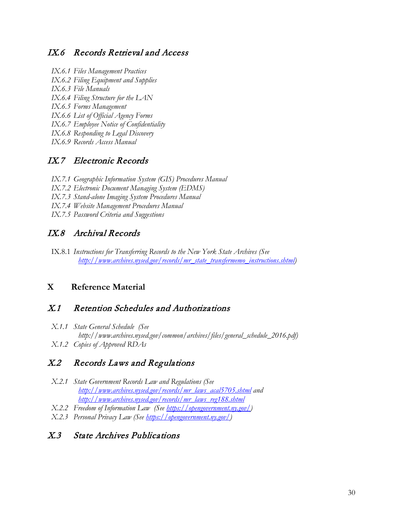## <span id="page-29-0"></span>IX.6 Records Retrieval and Access

- *IX.6.1 Files Management Practices*
- *IX.6.2 Filing Equipment and Supplies*
- *IX.6.3 File Manuals*
- *IX.6.4 Filing Structure for the LAN*
- *IX.6.5 Forms Management*
- *IX.6.6 List of Official Agency Forms*
- *IX.6.7 Employee Notice of Confidentiality*
- *IX.6.8 Responding to Legal Discovery*
- *IX.6.9 Records Access Manual*

# <span id="page-29-1"></span>IX.7 Electronic Records

- *IX.7.1 Geographic Information System (GIS) Procedures Manual*
- *IX.7.2 Electronic Document Managing System (EDMS)*
- *IX.7.3 Stand-alone Imaging System Procedures Manual*
- *IX.7.4 Website Management Procedures Manual*
- *IX.7.5 Password Criteria and Suggestions*

# <span id="page-29-2"></span>IX.8 Archival Records

IX.8.1 *Instructions for Transferring Records to the New York State Archives (See [http://www.archives.nysed.gov/records/mr\\_state\\_transfermemo\\_instructions.shtml\)](http://www.archives.nysed.gov/records/mr_state_transfermemo_instructions.shtml)*

### <span id="page-29-3"></span>**X Reference Material**

## <span id="page-29-4"></span>X.1 Retention Schedules and Authorizations

*X.1.1 State General Schedule (See http://www.archives.nysed.gov/common/archives/files/general\_schedule\_2016.pdf) X.1.2 Copies of Approved RDAs*

# <span id="page-29-5"></span>X.2 Records Laws and Regulations

- *X.2.1 State Government Records Law and Regulations (See [http://www.archives.nysed.gov/records/mr\\_laws\\_acal5705.shtml](http://www.archives.nysed.gov/records/mr_laws_acal5705.shtml) and http://www.archives.nysed.gov/records/mr\_laws\_reg188.shtml*
- *X.2.2 Freedom of Information Law (See https://opengovernment.ny.gov/)*
- *X.2.3 Personal Privacy Law (See https://opengovernment.ny.gov/)*

# <span id="page-29-6"></span>X.3 State Archives Publications